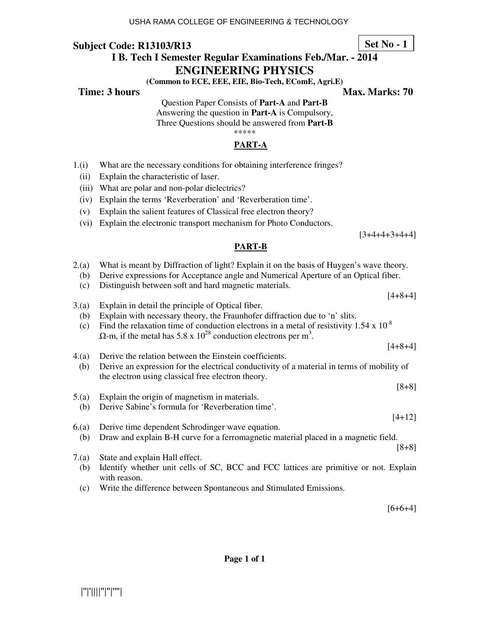# **I B. Tech I Semester Regular Examinations Feb./Mar. - 2014**

## **ENGINEERING PHYSICS**

**(Common to ECE, EEE, EIE, Bio-Tech, EComE, Agri.E)** 

**Time: 3 hours** Max. Marks: 70

Question Paper Consists of **Part-A** and **Part-B** Answering the question in **Part-A** is Compulsory, Three Questions should be answered from **Part-B** \*\*\*\*\*

## **PART-A**

- 1.(i) What are the necessary conditions for obtaining interference fringes?
	- (ii) Explain the characteristic of laser.
	- (iii) What are polar and non-polar dielectrics?
	- (iv) Explain the terms 'Reverberation' and 'Reverberation time'.
	- (v) Explain the salient features of Classical free electron theory?
	- (vi) Explain the electronic transport mechanism for Photo Conductors.

 $[3+4+4+3+4+4]$ 

## **PART-B**

| 2(a)  | What is meant by Diffraction of light? Explain it on the basis of Huygen's wave theory.          |
|-------|--------------------------------------------------------------------------------------------------|
| (b)   | Derive expressions for Acceptance angle and Numerical Aperture of an Optical fiber.              |
| (c)   | Distinguish between soft and hard magnetic materials.                                            |
|       | $[4+8+4]$                                                                                        |
| 3(a)  | Explain in detail the principle of Optical fiber.                                                |
|       |                                                                                                  |
| (b)   | Explain with necessary theory, the Fraunhofer diffraction due to 'n' slits.                      |
| (c)   | Find the relaxation time of conduction electrons in a metal of resistivity $1.54 \times 10^{-8}$ |
|       | $\Omega$ -m, if the metal has 5.8 x 10 <sup>28</sup> conduction electrons per m <sup>3</sup> .   |
|       | $[4+8+4]$                                                                                        |
| 4(a)  | Derive the relation between the Einstein coefficients.                                           |
|       |                                                                                                  |
| (b)   | Derive an expression for the electrical conductivity of a material in terms of mobility of       |
|       | the electron using classical free electron theory.                                               |
|       | $[8+8]$                                                                                          |
| 5.(a) | Explain the origin of magnetism in materials.                                                    |
| (b)   | Derive Sabine's formula for 'Reverberation time'.                                                |
|       | $[4+12]$                                                                                         |
|       |                                                                                                  |
| 6(a)  | Derive time dependent Schrodinger wave equation.                                                 |
| (b)   | Draw and explain B-H curve for a ferromagnetic material placed in a magnetic field.              |
|       | $[8+8]$                                                                                          |
| 7.(a) | State and explain Hall effect.                                                                   |
| (b)   | Identify whether unit cells of SC, BCC and FCC lattices are primitive or not. Explain            |
|       |                                                                                                  |
|       | with reason.                                                                                     |
| (c)   | Write the difference between Spontaneous and Stimulated Emissions.                               |
|       |                                                                                                  |
|       |                                                                                                  |

 $[6+6+4]$ 

# **Set No - 1**

|''|'||||''|''|''''|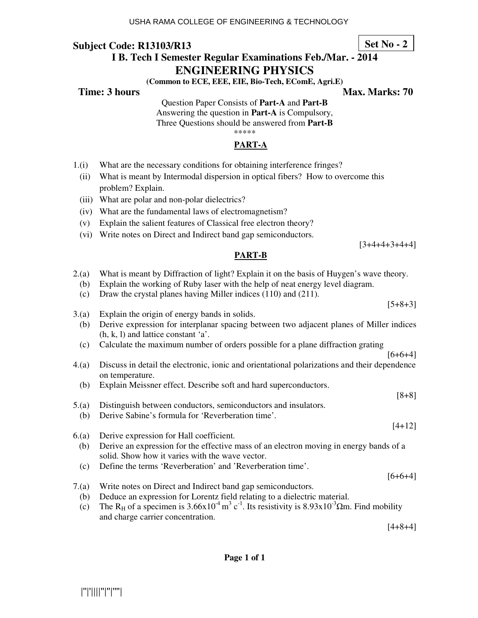# **I B. Tech I Semester Regular Examinations Feb./Mar. - 2014**

## **ENGINEERING PHYSICS**

**(Common to ECE, EEE, EIE, Bio-Tech, EComE, Agri.E)** 

**Time: 3 hours Max. Marks: 70 Max. Marks: 70** 

[3+4+4+3+4+4]

 $[5+8+3]$ 

[8+8]

[4+12]

Question Paper Consists of **Part-A** and **Part-B** Answering the question in **Part-A** is Compulsory, Three Questions should be answered from **Part-B** \*\*\*\*\*

## **PART-A**

- 1.(i) What are the necessary conditions for obtaining interference fringes?
	- (ii) What is meant by Intermodal dispersion in optical fibers? How to overcome this problem? Explain.
	- (iii) What are polar and non-polar dielectrics?
	- (iv) What are the fundamental laws of electromagnetism?
	- (v) Explain the salient features of Classical free electron theory?
	- (vi) Write notes on Direct and Indirect band gap semiconductors.

#### **PART-B**

- 2.(a) What is meant by Diffraction of light? Explain it on the basis of Huygen's wave theory.
	- (b) Explain the working of Ruby laser with the help of neat energy level diagram.
	- (c) Draw the crystal planes having Miller indices (110) and (211).
- 3.(a) Explain the origin of energy bands in solids. (b) Derive expression for interplanar spacing between two adjacent planes of Miller indices (h, k, l) and lattice constant 'a'.
	- (c) Calculate the maximum number of orders possible for a plane diffraction grating
- $[6+6+4]$ 4.(a) Discuss in detail the electronic, ionic and orientational polarizations and their dependence on temperature.
	- (b) Explain Meissner effect. Describe soft and hard superconductors.
- 5.(a) Distinguish between conductors, semiconductors and insulators.
- (b) Derive Sabine's formula for 'Reverberation time'.
- 6.(a) Derive expression for Hall coefficient.
- (b) Derive an expression for the effective mass of an electron moving in energy bands of a solid. Show how it varies with the wave vector.
- (c) Define the terms 'Reverberation' and 'Reverberation time'.

- $[6+6+4]$
- 7.(a) Write notes on Direct and Indirect band gap semiconductors.
- (b) Deduce an expression for Lorentz field relating to a dielectric material. (c) The R<sub>H</sub> of a specimen is  $3.66 \times 10^{-4}$  m<sup>3</sup> c<sup>-1</sup>. Its resistivity is  $8.93 \times 10^{-3}$  Qm. Find mobility and charge carrier concentration.

[4+8+4]

**Set No - 2**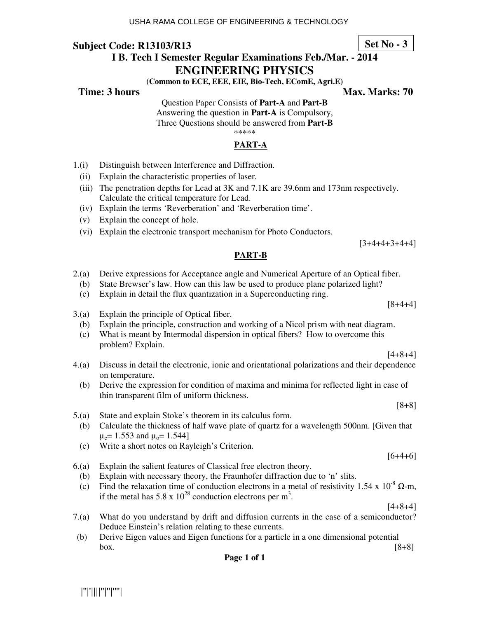# **I B. Tech I Semester Regular Examinations Feb./Mar. - 2014**

#### **ENGINEERING PHYSICS**

**(Common to ECE, EEE, EIE, Bio-Tech, EComE, Agri.E)** 

## **Time: 3 hours Max. Marks: 70 Max. Marks: 70**

**Set No - 3**

 $[3+4+4+3+4+4]$ 

Question Paper Consists of **Part-A** and **Part-B** Answering the question in **Part-A** is Compulsory, Three Questions should be answered from **Part-B** \*\*\*\*\*

#### **PART-A**

- 1.(i) Distinguish between Interference and Diffraction.
	- (ii) Explain the characteristic properties of laser.
	- (iii) The penetration depths for Lead at 3K and 7.1K are 39.6nm and 173nm respectively. Calculate the critical temperature for Lead.
	- (iv) Explain the terms 'Reverberation' and 'Reverberation time'.
	- (v) Explain the concept of hole.
	- (vi) Explain the electronic transport mechanism for Photo Conductors.

#### **PART-B**

- 2.(a) Derive expressions for Acceptance angle and Numerical Aperture of an Optical fiber.
	- (b) State Brewser's law. How can this law be used to produce plane polarized light?
	- (c) Explain in detail the flux quantization in a Superconducting ring.
- 3.(a) Explain the principle of Optical fiber.
	- (b) Explain the principle, construction and working of a Nicol prism with neat diagram.
	- (c) What is meant by Intermodal dispersion in optical fibers? How to overcome this problem? Explain.
- 4.(a) Discuss in detail the electronic, ionic and orientational polarizations and their dependence on temperature.
	- (b) Derive the expression for condition of maxima and minima for reflected light in case of thin transparent film of uniform thickness.
- 5.(a) State and explain Stoke's theorem in its calculus form.
	- (b) Calculate the thickness of half wave plate of quartz for a wavelength 500nm. [Given that  $\mu_e$ = 1.553 and  $\mu_o$ = 1.544]
	- (c) Write a short notes on Rayleigh's Criterion.
- 6.(a) Explain the salient features of Classical free electron theory.
- (b) Explain with necessary theory, the Fraunhofer diffraction due to 'n' slits.
- (c) Find the relaxation time of conduction electrons in a metal of resistivity 1.54 x  $10^{-8}$   $\Omega$ -m, if the metal has 5.8 x  $10^{28}$  conduction electrons per m<sup>3</sup>.

[4+8+4]

- 7.(a) What do you understand by drift and diffusion currents in the case of a semiconductor? Deduce Einstein's relation relating to these currents.
- (b) Derive Eigen values and Eigen functions for a particle in a one dimensional potential  $box.$  [8+8]

 $[4+8+4]$ 

[8+4+4]

[8+8]

 $[6+4+6]$